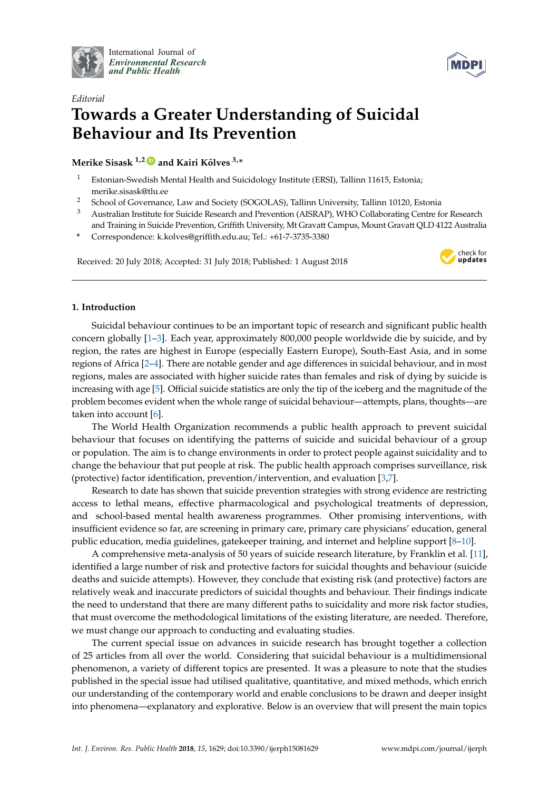

International Journal of *[Environmental Research](http://www.mdpi.com/journal/ijerph) and Public Health*



# *Editorial* **Towards a Greater Understanding of Suicidal Behaviour and Its Prevention**

**Merike Sisask 1,2 [ID](https://orcid.org/0000-0001-6821-6367) and Kairi Kõlves 3,\***

- <sup>1</sup> Estonian-Swedish Mental Health and Suicidology Institute (ERSI), Tallinn 11615, Estonia; merike.sisask@tlu.ee
- <sup>2</sup> School of Governance, Law and Society (SOGOLAS), Tallinn University, Tallinn 10120, Estonia
- <sup>3</sup> Australian Institute for Suicide Research and Prevention (AISRAP), WHO Collaborating Centre for Research and Training in Suicide Prevention, Griffith University, Mt Gravatt Campus, Mount Gravatt QLD 4122 Australia
- **\*** Correspondence: k.kolves@griffith.edu.au; Tel.: +61-7-3735-3380

Received: 20 July 2018; Accepted: 31 July 2018; Published: 1 August 2018



# **1. Introduction**

Suicidal behaviour continues to be an important topic of research and significant public health concern globally [\[1](#page-5-0)[–3\]](#page-5-1). Each year, approximately 800,000 people worldwide die by suicide, and by region, the rates are highest in Europe (especially Eastern Europe), South-East Asia, and in some regions of Africa [\[2–](#page-5-2)[4\]](#page-5-3). There are notable gender and age differences in suicidal behaviour, and in most regions, males are associated with higher suicide rates than females and risk of dying by suicide is increasing with age [\[5\]](#page-5-4). Official suicide statistics are only the tip of the iceberg and the magnitude of the problem becomes evident when the whole range of suicidal behaviour—attempts, plans, thoughts—are taken into account [\[6\]](#page-5-5).

The World Health Organization recommends a public health approach to prevent suicidal behaviour that focuses on identifying the patterns of suicide and suicidal behaviour of a group or population. The aim is to change environments in order to protect people against suicidality and to change the behaviour that put people at risk. The public health approach comprises surveillance, risk (protective) factor identification, prevention/intervention, and evaluation [\[3](#page-5-1)[,7\]](#page-5-6).

Research to date has shown that suicide prevention strategies with strong evidence are restricting access to lethal means, effective pharmacological and psychological treatments of depression, and school-based mental health awareness programmes. Other promising interventions, with insufficient evidence so far, are screening in primary care, primary care physicians' education, general public education, media guidelines, gatekeeper training, and internet and helpline support [\[8](#page-5-7)[–10\]](#page-5-8).

A comprehensive meta-analysis of 50 years of suicide research literature, by Franklin et al. [\[11\]](#page-5-9), identified a large number of risk and protective factors for suicidal thoughts and behaviour (suicide deaths and suicide attempts). However, they conclude that existing risk (and protective) factors are relatively weak and inaccurate predictors of suicidal thoughts and behaviour. Their findings indicate the need to understand that there are many different paths to suicidality and more risk factor studies, that must overcome the methodological limitations of the existing literature, are needed. Therefore, we must change our approach to conducting and evaluating studies.

The current special issue on advances in suicide research has brought together a collection of 25 articles from all over the world. Considering that suicidal behaviour is a multidimensional phenomenon, a variety of different topics are presented. It was a pleasure to note that the studies published in the special issue had utilised qualitative, quantitative, and mixed methods, which enrich our understanding of the contemporary world and enable conclusions to be drawn and deeper insight into phenomena—explanatory and explorative. Below is an overview that will present the main topics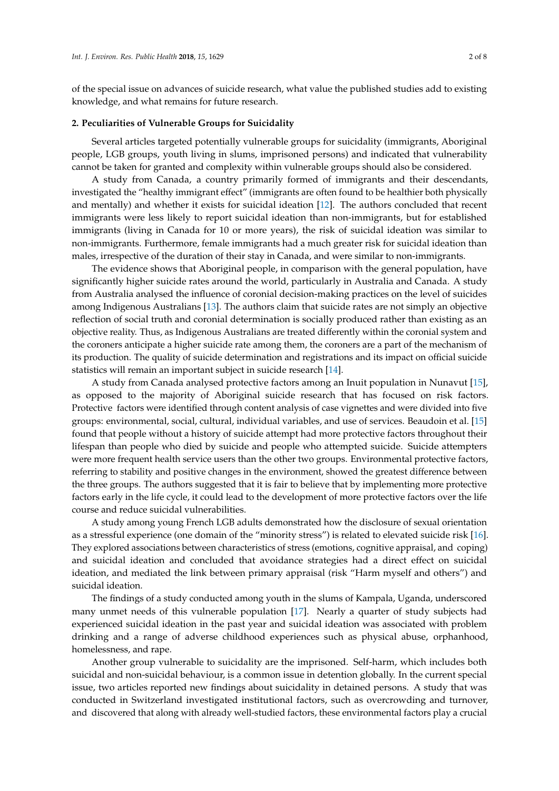of the special issue on advances of suicide research, what value the published studies add to existing knowledge, and what remains for future research.

## **2. Peculiarities of Vulnerable Groups for Suicidality**

Several articles targeted potentially vulnerable groups for suicidality (immigrants, Aboriginal people, LGB groups, youth living in slums, imprisoned persons) and indicated that vulnerability cannot be taken for granted and complexity within vulnerable groups should also be considered.

A study from Canada, a country primarily formed of immigrants and their descendants, investigated the "healthy immigrant effect" (immigrants are often found to be healthier both physically and mentally) and whether it exists for suicidal ideation [\[12\]](#page-5-10). The authors concluded that recent immigrants were less likely to report suicidal ideation than non-immigrants, but for established immigrants (living in Canada for 10 or more years), the risk of suicidal ideation was similar to non-immigrants. Furthermore, female immigrants had a much greater risk for suicidal ideation than males, irrespective of the duration of their stay in Canada, and were similar to non-immigrants.

The evidence shows that Aboriginal people, in comparison with the general population, have significantly higher suicide rates around the world, particularly in Australia and Canada. A study from Australia analysed the influence of coronial decision-making practices on the level of suicides among Indigenous Australians [\[13\]](#page-5-11). The authors claim that suicide rates are not simply an objective reflection of social truth and coronial determination is socially produced rather than existing as an objective reality. Thus, as Indigenous Australians are treated differently within the coronial system and the coroners anticipate a higher suicide rate among them, the coroners are a part of the mechanism of its production. The quality of suicide determination and registrations and its impact on official suicide statistics will remain an important subject in suicide research [\[14\]](#page-5-12).

A study from Canada analysed protective factors among an Inuit population in Nunavut [\[15\]](#page-5-13), as opposed to the majority of Aboriginal suicide research that has focused on risk factors. Protective factors were identified through content analysis of case vignettes and were divided into five groups: environmental, social, cultural, individual variables, and use of services. Beaudoin et al. [\[15\]](#page-5-13) found that people without a history of suicide attempt had more protective factors throughout their lifespan than people who died by suicide and people who attempted suicide. Suicide attempters were more frequent health service users than the other two groups. Environmental protective factors, referring to stability and positive changes in the environment, showed the greatest difference between the three groups. The authors suggested that it is fair to believe that by implementing more protective factors early in the life cycle, it could lead to the development of more protective factors over the life course and reduce suicidal vulnerabilities.

A study among young French LGB adults demonstrated how the disclosure of sexual orientation as a stressful experience (one domain of the "minority stress") is related to elevated suicide risk [\[16\]](#page-6-0). They explored associations between characteristics of stress (emotions, cognitive appraisal, and coping) and suicidal ideation and concluded that avoidance strategies had a direct effect on suicidal ideation, and mediated the link between primary appraisal (risk "Harm myself and others") and suicidal ideation.

The findings of a study conducted among youth in the slums of Kampala, Uganda, underscored many unmet needs of this vulnerable population [\[17\]](#page-6-1). Nearly a quarter of study subjects had experienced suicidal ideation in the past year and suicidal ideation was associated with problem drinking and a range of adverse childhood experiences such as physical abuse, orphanhood, homelessness, and rape.

Another group vulnerable to suicidality are the imprisoned. Self-harm, which includes both suicidal and non-suicidal behaviour, is a common issue in detention globally. In the current special issue, two articles reported new findings about suicidality in detained persons. A study that was conducted in Switzerland investigated institutional factors, such as overcrowding and turnover, and discovered that along with already well-studied factors, these environmental factors play a crucial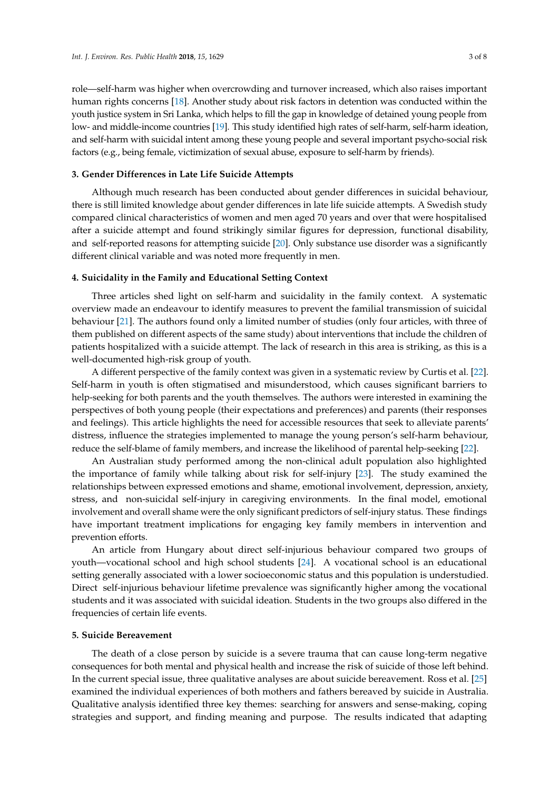role—self-harm was higher when overcrowding and turnover increased, which also raises important human rights concerns [\[18\]](#page-6-2). Another study about risk factors in detention was conducted within the youth justice system in Sri Lanka, which helps to fill the gap in knowledge of detained young people from low- and middle-income countries [\[19\]](#page-6-3). This study identified high rates of self-harm, self-harm ideation, and self-harm with suicidal intent among these young people and several important psycho-social risk factors (e.g., being female, victimization of sexual abuse, exposure to self-harm by friends).

## **3. Gender Differences in Late Life Suicide Attempts**

Although much research has been conducted about gender differences in suicidal behaviour, there is still limited knowledge about gender differences in late life suicide attempts. A Swedish study compared clinical characteristics of women and men aged 70 years and over that were hospitalised after a suicide attempt and found strikingly similar figures for depression, functional disability, and self-reported reasons for attempting suicide [\[20\]](#page-6-4). Only substance use disorder was a significantly different clinical variable and was noted more frequently in men.

#### **4. Suicidality in the Family and Educational Setting Context**

Three articles shed light on self-harm and suicidality in the family context. A systematic overview made an endeavour to identify measures to prevent the familial transmission of suicidal behaviour [\[21\]](#page-6-5). The authors found only a limited number of studies (only four articles, with three of them published on different aspects of the same study) about interventions that include the children of patients hospitalized with a suicide attempt. The lack of research in this area is striking, as this is a well-documented high-risk group of youth.

A different perspective of the family context was given in a systematic review by Curtis et al. [\[22\]](#page-6-6). Self-harm in youth is often stigmatised and misunderstood, which causes significant barriers to help-seeking for both parents and the youth themselves. The authors were interested in examining the perspectives of both young people (their expectations and preferences) and parents (their responses and feelings). This article highlights the need for accessible resources that seek to alleviate parents' distress, influence the strategies implemented to manage the young person's self-harm behaviour, reduce the self-blame of family members, and increase the likelihood of parental help-seeking [\[22\]](#page-6-6).

An Australian study performed among the non-clinical adult population also highlighted the importance of family while talking about risk for self-injury [\[23\]](#page-6-7). The study examined the relationships between expressed emotions and shame, emotional involvement, depression, anxiety, stress, and non-suicidal self-injury in caregiving environments. In the final model, emotional involvement and overall shame were the only significant predictors of self-injury status. These findings have important treatment implications for engaging key family members in intervention and prevention efforts.

An article from Hungary about direct self-injurious behaviour compared two groups of youth—vocational school and high school students [\[24\]](#page-6-8). A vocational school is an educational setting generally associated with a lower socioeconomic status and this population is understudied. Direct self-injurious behaviour lifetime prevalence was significantly higher among the vocational students and it was associated with suicidal ideation. Students in the two groups also differed in the frequencies of certain life events.

# **5. Suicide Bereavement**

The death of a close person by suicide is a severe trauma that can cause long-term negative consequences for both mental and physical health and increase the risk of suicide of those left behind. In the current special issue, three qualitative analyses are about suicide bereavement. Ross et al. [\[25\]](#page-6-9) examined the individual experiences of both mothers and fathers bereaved by suicide in Australia. Qualitative analysis identified three key themes: searching for answers and sense-making, coping strategies and support, and finding meaning and purpose. The results indicated that adapting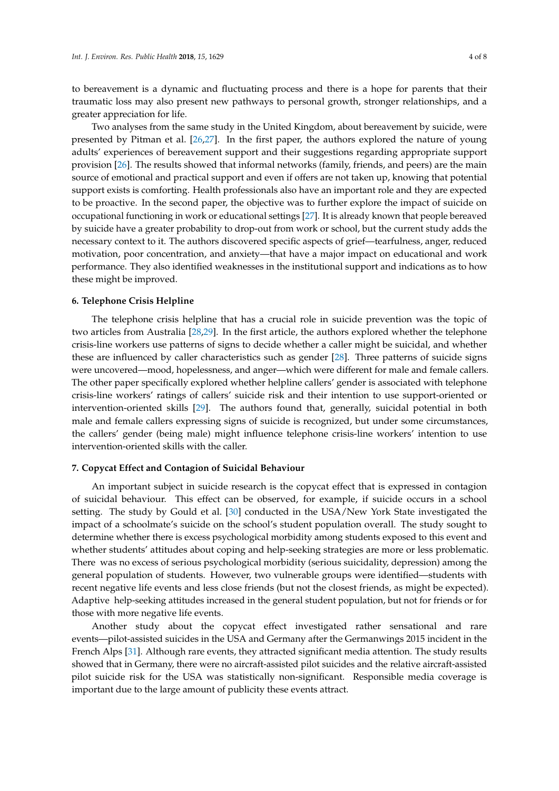to bereavement is a dynamic and fluctuating process and there is a hope for parents that their traumatic loss may also present new pathways to personal growth, stronger relationships, and a greater appreciation for life.

Two analyses from the same study in the United Kingdom, about bereavement by suicide, were presented by Pitman et al. [\[26,](#page-6-10)[27\]](#page-6-11). In the first paper, the authors explored the nature of young adults' experiences of bereavement support and their suggestions regarding appropriate support provision [\[26\]](#page-6-10). The results showed that informal networks (family, friends, and peers) are the main source of emotional and practical support and even if offers are not taken up, knowing that potential support exists is comforting. Health professionals also have an important role and they are expected to be proactive. In the second paper, the objective was to further explore the impact of suicide on occupational functioning in work or educational settings [\[27\]](#page-6-11). It is already known that people bereaved by suicide have a greater probability to drop-out from work or school, but the current study adds the necessary context to it. The authors discovered specific aspects of grief—tearfulness, anger, reduced motivation, poor concentration, and anxiety—that have a major impact on educational and work performance. They also identified weaknesses in the institutional support and indications as to how these might be improved.

# **6. Telephone Crisis Helpline**

The telephone crisis helpline that has a crucial role in suicide prevention was the topic of two articles from Australia [\[28](#page-6-12)[,29\]](#page-6-13). In the first article, the authors explored whether the telephone crisis-line workers use patterns of signs to decide whether a caller might be suicidal, and whether these are influenced by caller characteristics such as gender [\[28\]](#page-6-12). Three patterns of suicide signs were uncovered—mood, hopelessness, and anger—which were different for male and female callers. The other paper specifically explored whether helpline callers' gender is associated with telephone crisis-line workers' ratings of callers' suicide risk and their intention to use support-oriented or intervention-oriented skills [\[29\]](#page-6-13). The authors found that, generally, suicidal potential in both male and female callers expressing signs of suicide is recognized, but under some circumstances, the callers' gender (being male) might influence telephone crisis-line workers' intention to use intervention-oriented skills with the caller.

#### **7. Copycat Effect and Contagion of Suicidal Behaviour**

An important subject in suicide research is the copycat effect that is expressed in contagion of suicidal behaviour. This effect can be observed, for example, if suicide occurs in a school setting. The study by Gould et al. [\[30\]](#page-6-14) conducted in the USA/New York State investigated the impact of a schoolmate's suicide on the school's student population overall. The study sought to determine whether there is excess psychological morbidity among students exposed to this event and whether students' attitudes about coping and help-seeking strategies are more or less problematic. There was no excess of serious psychological morbidity (serious suicidality, depression) among the general population of students. However, two vulnerable groups were identified—students with recent negative life events and less close friends (but not the closest friends, as might be expected). Adaptive help-seeking attitudes increased in the general student population, but not for friends or for those with more negative life events.

Another study about the copycat effect investigated rather sensational and rare events—pilot-assisted suicides in the USA and Germany after the Germanwings 2015 incident in the French Alps [\[31\]](#page-6-15). Although rare events, they attracted significant media attention. The study results showed that in Germany, there were no aircraft-assisted pilot suicides and the relative aircraft-assisted pilot suicide risk for the USA was statistically non-significant. Responsible media coverage is important due to the large amount of publicity these events attract.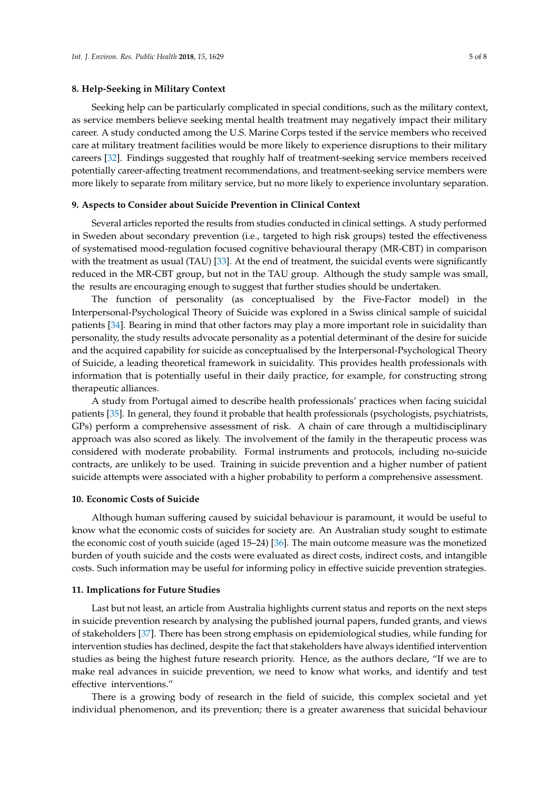# **8. Help-Seeking in Military Context**

Seeking help can be particularly complicated in special conditions, such as the military context, as service members believe seeking mental health treatment may negatively impact their military career. A study conducted among the U.S. Marine Corps tested if the service members who received care at military treatment facilities would be more likely to experience disruptions to their military careers [\[32\]](#page-6-16). Findings suggested that roughly half of treatment-seeking service members received potentially career-affecting treatment recommendations, and treatment-seeking service members were more likely to separate from military service, but no more likely to experience involuntary separation.

## **9. Aspects to Consider about Suicide Prevention in Clinical Context**

Several articles reported the results from studies conducted in clinical settings. A study performed in Sweden about secondary prevention (i.e., targeted to high risk groups) tested the effectiveness of systematised mood-regulation focused cognitive behavioural therapy (MR-CBT) in comparison with the treatment as usual (TAU) [\[33\]](#page-6-17). At the end of treatment, the suicidal events were significantly reduced in the MR-CBT group, but not in the TAU group. Although the study sample was small, the results are encouraging enough to suggest that further studies should be undertaken.

The function of personality (as conceptualised by the Five-Factor model) in the Interpersonal-Psychological Theory of Suicide was explored in a Swiss clinical sample of suicidal patients [\[34\]](#page-6-18). Bearing in mind that other factors may play a more important role in suicidality than personality, the study results advocate personality as a potential determinant of the desire for suicide and the acquired capability for suicide as conceptualised by the Interpersonal-Psychological Theory of Suicide, a leading theoretical framework in suicidality. This provides health professionals with information that is potentially useful in their daily practice, for example, for constructing strong therapeutic alliances.

A study from Portugal aimed to describe health professionals' practices when facing suicidal patients [\[35\]](#page-7-0). In general, they found it probable that health professionals (psychologists, psychiatrists, GPs) perform a comprehensive assessment of risk. A chain of care through a multidisciplinary approach was also scored as likely. The involvement of the family in the therapeutic process was considered with moderate probability. Formal instruments and protocols, including no-suicide contracts, are unlikely to be used. Training in suicide prevention and a higher number of patient suicide attempts were associated with a higher probability to perform a comprehensive assessment.

# **10. Economic Costs of Suicide**

Although human suffering caused by suicidal behaviour is paramount, it would be useful to know what the economic costs of suicides for society are. An Australian study sought to estimate the economic cost of youth suicide (aged 15–24) [\[36\]](#page-7-1). The main outcome measure was the monetized burden of youth suicide and the costs were evaluated as direct costs, indirect costs, and intangible costs. Such information may be useful for informing policy in effective suicide prevention strategies.

## **11. Implications for Future Studies**

Last but not least, an article from Australia highlights current status and reports on the next steps in suicide prevention research by analysing the published journal papers, funded grants, and views of stakeholders [\[37\]](#page-7-2). There has been strong emphasis on epidemiological studies, while funding for intervention studies has declined, despite the fact that stakeholders have always identified intervention studies as being the highest future research priority. Hence, as the authors declare, "If we are to make real advances in suicide prevention, we need to know what works, and identify and test effective interventions."

There is a growing body of research in the field of suicide, this complex societal and yet individual phenomenon, and its prevention; there is a greater awareness that suicidal behaviour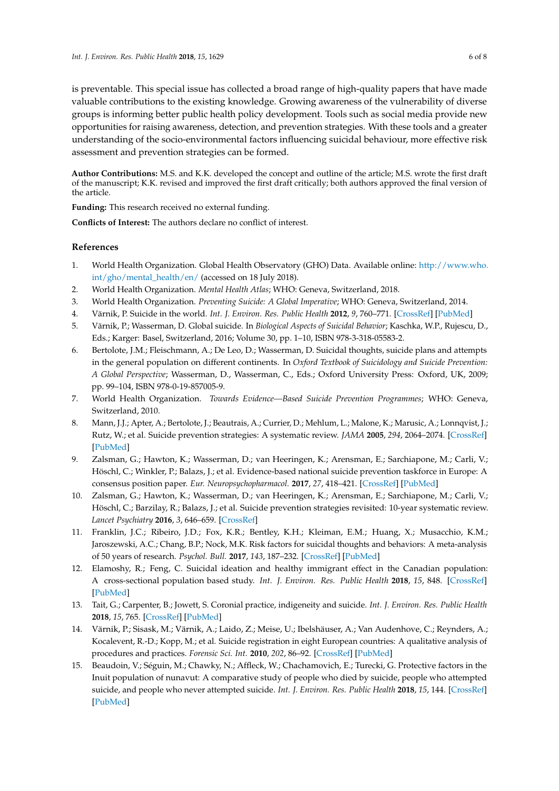is preventable. This special issue has collected a broad range of high-quality papers that have made valuable contributions to the existing knowledge. Growing awareness of the vulnerability of diverse groups is informing better public health policy development. Tools such as social media provide new opportunities for raising awareness, detection, and prevention strategies. With these tools and a greater understanding of the socio-environmental factors influencing suicidal behaviour, more effective risk assessment and prevention strategies can be formed.

**Author Contributions:** M.S. and K.K. developed the concept and outline of the article; M.S. wrote the first draft of the manuscript; K.K. revised and improved the first draft critically; both authors approved the final version of the article.

**Funding:** This research received no external funding.

**Conflicts of Interest:** The authors declare no conflict of interest.

# **References**

- <span id="page-5-0"></span>1. World Health Organization. Global Health Observatory (GHO) Data. Available online: [http://www.who.](http://www.who.int/gho/mental_health/en/) [int/gho/mental\\_health/en/](http://www.who.int/gho/mental_health/en/) (accessed on 18 July 2018).
- <span id="page-5-2"></span>2. World Health Organization. *Mental Health Atlas*; WHO: Geneva, Switzerland, 2018.
- <span id="page-5-1"></span>3. World Health Organization. *Preventing Suicide: A Global Imperative*; WHO: Geneva, Switzerland, 2014.
- <span id="page-5-3"></span>4. Värnik, P. Suicide in the world. *Int. J. Environ. Res. Public Health* **2012**, *9*, 760–771. [\[CrossRef\]](http://dx.doi.org/10.3390/ijerph9030760) [\[PubMed\]](http://www.ncbi.nlm.nih.gov/pubmed/22690161)
- <span id="page-5-4"></span>5. Värnik, P.; Wasserman, D. Global suicide. In *Biological Aspects of Suicidal Behavior*; Kaschka, W.P., Rujescu, D., Eds.; Karger: Basel, Switzerland, 2016; Volume 30, pp. 1–10, ISBN 978-3-318-05583-2.
- <span id="page-5-5"></span>6. Bertolote, J.M.; Fleischmann, A.; De Leo, D.; Wasserman, D. Suicidal thoughts, suicide plans and attempts in the general population on different continents. In *Oxford Textbook of Suicidology and Suicide Prevention: A Global Perspective*; Wasserman, D., Wasserman, C., Eds.; Oxford University Press: Oxford, UK, 2009; pp. 99–104, ISBN 978-0-19-857005-9.
- <span id="page-5-6"></span>7. World Health Organization. *Towards Evidence—Based Suicide Prevention Programmes*; WHO: Geneva, Switzerland, 2010.
- <span id="page-5-7"></span>8. Mann, J.J.; Apter, A.; Bertolote, J.; Beautrais, A.; Currier, D.; Mehlum, L.; Malone, K.; Marusic, A.; Lonnqvist, J.; Rutz, W.; et al. Suicide prevention strategies: A systematic review. *JAMA* **2005**, *294*, 2064–2074. [\[CrossRef\]](http://dx.doi.org/10.1001/jama.294.16.2064) [\[PubMed\]](http://www.ncbi.nlm.nih.gov/pubmed/16249421)
- 9. Zalsman, G.; Hawton, K.; Wasserman, D.; van Heeringen, K.; Arensman, E.; Sarchiapone, M.; Carli, V.; Höschl, C.; Winkler, P.; Balazs, J.; et al. Evidence-based national suicide prevention taskforce in Europe: A consensus position paper. *Eur. Neuropsychopharmacol.* **2017**, *27*, 418–421. [\[CrossRef\]](http://dx.doi.org/10.1016/j.euroneuro.2017.01.012) [\[PubMed\]](http://www.ncbi.nlm.nih.gov/pubmed/28161247)
- <span id="page-5-8"></span>10. Zalsman, G.; Hawton, K.; Wasserman, D.; van Heeringen, K.; Arensman, E.; Sarchiapone, M.; Carli, V.; Höschl, C.; Barzilay, R.; Balazs, J.; et al. Suicide prevention strategies revisited: 10-year systematic review. *Lancet Psychiatry* **2016**, *3*, 646–659. [\[CrossRef\]](http://dx.doi.org/10.1016/S2215-0366(16)30030-X)
- <span id="page-5-9"></span>11. Franklin, J.C.; Ribeiro, J.D.; Fox, K.R.; Bentley, K.H.; Kleiman, E.M.; Huang, X.; Musacchio, K.M.; Jaroszewski, A.C.; Chang, B.P.; Nock, M.K. Risk factors for suicidal thoughts and behaviors: A meta-analysis of 50 years of research. *Psychol. Bull.* **2017**, *143*, 187–232. [\[CrossRef\]](http://dx.doi.org/10.1037/bul0000084) [\[PubMed\]](http://www.ncbi.nlm.nih.gov/pubmed/27841450)
- <span id="page-5-10"></span>12. Elamoshy, R.; Feng, C. Suicidal ideation and healthy immigrant effect in the Canadian population: A cross-sectional population based study. *Int. J. Environ. Res. Public Health* **2018**, *15*, 848. [\[CrossRef\]](http://dx.doi.org/10.3390/ijerph15050848) [\[PubMed\]](http://www.ncbi.nlm.nih.gov/pubmed/29693576)
- <span id="page-5-11"></span>13. Tait, G.; Carpenter, B.; Jowett, S. Coronial practice, indigeneity and suicide. *Int. J. Environ. Res. Public Health* **2018**, *15*, 765. [\[CrossRef\]](http://dx.doi.org/10.3390/ijerph15040765) [\[PubMed\]](http://www.ncbi.nlm.nih.gov/pubmed/29659514)
- <span id="page-5-12"></span>14. Värnik, P.; Sisask, M.; Värnik, A.; Laido, Z.; Meise, U.; Ibelshäuser, A.; Van Audenhove, C.; Reynders, A.; Kocalevent, R.-D.; Kopp, M.; et al. Suicide registration in eight European countries: A qualitative analysis of procedures and practices. *Forensic Sci. Int.* **2010**, *202*, 86–92. [\[CrossRef\]](http://dx.doi.org/10.1016/j.forsciint.2010.04.032) [\[PubMed\]](http://www.ncbi.nlm.nih.gov/pubmed/20483553)
- <span id="page-5-13"></span>15. Beaudoin, V.; Séguin, M.; Chawky, N.; Affleck, W.; Chachamovich, E.; Turecki, G. Protective factors in the Inuit population of nunavut: A comparative study of people who died by suicide, people who attempted suicide, and people who never attempted suicide. *Int. J. Environ. Res. Public Health* **2018**, *15*, 144. [\[CrossRef\]](http://dx.doi.org/10.3390/ijerph15010144) [\[PubMed\]](http://www.ncbi.nlm.nih.gov/pubmed/29337928)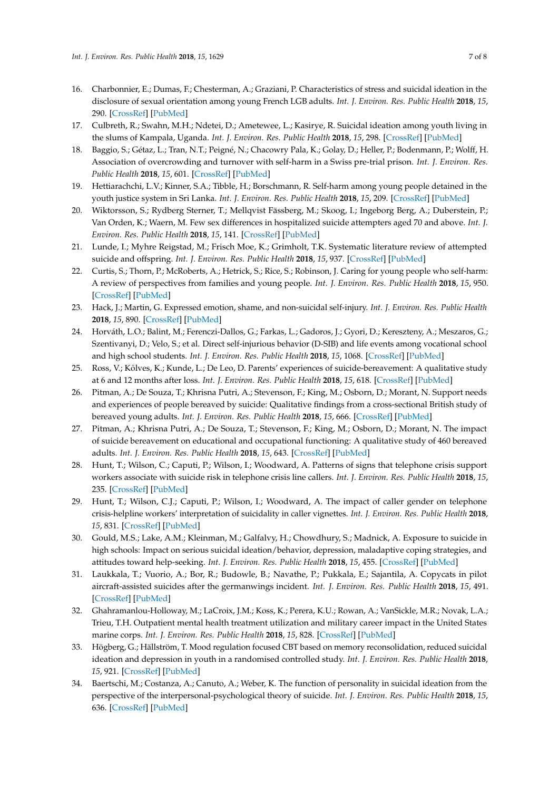- <span id="page-6-0"></span>16. Charbonnier, E.; Dumas, F.; Chesterman, A.; Graziani, P. Characteristics of stress and suicidal ideation in the disclosure of sexual orientation among young French LGB adults. *Int. J. Environ. Res. Public Health* **2018**, *15*, 290. [\[CrossRef\]](http://dx.doi.org/10.3390/ijerph15020290) [\[PubMed\]](http://www.ncbi.nlm.nih.gov/pubmed/29414915)
- <span id="page-6-1"></span>17. Culbreth, R.; Swahn, M.H.; Ndetei, D.; Ametewee, L.; Kasirye, R. Suicidal ideation among youth living in the slums of Kampala, Uganda. *Int. J. Environ. Res. Public Health* **2018**, *15*, 298. [\[CrossRef\]](http://dx.doi.org/10.3390/ijerph15020298) [\[PubMed\]](http://www.ncbi.nlm.nih.gov/pubmed/29425129)
- <span id="page-6-2"></span>18. Baggio, S.; Gétaz, L.; Tran, N.T.; Peigné, N.; Chacowry Pala, K.; Golay, D.; Heller, P.; Bodenmann, P.; Wolff, H. Association of overcrowding and turnover with self-harm in a Swiss pre-trial prison. *Int. J. Environ. Res. Public Health* **2018**, *15*, 601. [\[CrossRef\]](http://dx.doi.org/10.3390/ijerph15040601) [\[PubMed\]](http://www.ncbi.nlm.nih.gov/pubmed/29584625)
- <span id="page-6-3"></span>19. Hettiarachchi, L.V.; Kinner, S.A.; Tibble, H.; Borschmann, R. Self-harm among young people detained in the youth justice system in Sri Lanka. *Int. J. Environ. Res. Public Health* **2018**, *15*, 209. [\[CrossRef\]](http://dx.doi.org/10.3390/ijerph15020209) [\[PubMed\]](http://www.ncbi.nlm.nih.gov/pubmed/29373512)
- <span id="page-6-4"></span>20. Wiktorsson, S.; Rydberg Sterner, T.; Mellqvist Fässberg, M.; Skoog, I.; Ingeborg Berg, A.; Duberstein, P.; Van Orden, K.; Waern, M. Few sex differences in hospitalized suicide attempters aged 70 and above. *Int. J. Environ. Res. Public Health* **2018**, *15*, 141. [\[CrossRef\]](http://dx.doi.org/10.3390/ijerph15010141) [\[PubMed\]](http://www.ncbi.nlm.nih.gov/pubmed/29337907)
- <span id="page-6-5"></span>21. Lunde, I.; Myhre Reigstad, M.; Frisch Moe, K.; Grimholt, T.K. Systematic literature review of attempted suicide and offspring. *Int. J. Environ. Res. Public Health* **2018**, *15*, 937. [\[CrossRef\]](http://dx.doi.org/10.3390/ijerph15050937) [\[PubMed\]](http://www.ncbi.nlm.nih.gov/pubmed/29738447)
- <span id="page-6-6"></span>22. Curtis, S.; Thorn, P.; McRoberts, A.; Hetrick, S.; Rice, S.; Robinson, J. Caring for young people who self-harm: A review of perspectives from families and young people. *Int. J. Environ. Res. Public Health* **2018**, *15*, 950. [\[CrossRef\]](http://dx.doi.org/10.3390/ijerph15050950) [\[PubMed\]](http://www.ncbi.nlm.nih.gov/pubmed/29747476)
- <span id="page-6-7"></span>23. Hack, J.; Martin, G. Expressed emotion, shame, and non-suicidal self-injury. *Int. J. Environ. Res. Public Health* **2018**, *15*, 890. [\[CrossRef\]](http://dx.doi.org/10.3390/ijerph15050890) [\[PubMed\]](http://www.ncbi.nlm.nih.gov/pubmed/29710866)
- <span id="page-6-8"></span>24. Horváth, L.O.; Balint, M.; Ferenczi-Dallos, G.; Farkas, L.; Gadoros, J.; Gyori, D.; Kereszteny, A.; Meszaros, G.; Szentivanyi, D.; Velo, S.; et al. Direct self-injurious behavior (D-SIB) and life events among vocational school and high school students. *Int. J. Environ. Res. Public Health* **2018**, *15*, 1068. [\[CrossRef\]](http://dx.doi.org/10.3390/ijerph15061068) [\[PubMed\]](http://www.ncbi.nlm.nih.gov/pubmed/29795028)
- <span id="page-6-9"></span>25. Ross, V.; Kõlves, K.; Kunde, L.; De Leo, D. Parents' experiences of suicide-bereavement: A qualitative study at 6 and 12 months after loss. *Int. J. Environ. Res. Public Health* **2018**, *15*, 618. [\[CrossRef\]](http://dx.doi.org/10.3390/ijerph15040618) [\[PubMed\]](http://www.ncbi.nlm.nih.gov/pubmed/29597297)
- <span id="page-6-10"></span>26. Pitman, A.; De Souza, T.; Khrisna Putri, A.; Stevenson, F.; King, M.; Osborn, D.; Morant, N. Support needs and experiences of people bereaved by suicide: Qualitative findings from a cross-sectional British study of bereaved young adults. *Int. J. Environ. Res. Public Health* **2018**, *15*, 666. [\[CrossRef\]](http://dx.doi.org/10.3390/ijerph15040666) [\[PubMed\]](http://www.ncbi.nlm.nih.gov/pubmed/29614053)
- <span id="page-6-11"></span>27. Pitman, A.; Khrisna Putri, A.; De Souza, T.; Stevenson, F.; King, M.; Osborn, D.; Morant, N. The impact of suicide bereavement on educational and occupational functioning: A qualitative study of 460 bereaved adults. *Int. J. Environ. Res. Public Health* **2018**, *15*, 643. [\[CrossRef\]](http://dx.doi.org/10.3390/ijerph15040643) [\[PubMed\]](http://www.ncbi.nlm.nih.gov/pubmed/29614731)
- <span id="page-6-12"></span>28. Hunt, T.; Wilson, C.; Caputi, P.; Wilson, I.; Woodward, A. Patterns of signs that telephone crisis support workers associate with suicide risk in telephone crisis line callers. *Int. J. Environ. Res. Public Health* **2018**, *15*, 235. [\[CrossRef\]](http://dx.doi.org/10.3390/ijerph15020235) [\[PubMed\]](http://www.ncbi.nlm.nih.gov/pubmed/29385780)
- <span id="page-6-13"></span>29. Hunt, T.; Wilson, C.J.; Caputi, P.; Wilson, I.; Woodward, A. The impact of caller gender on telephone crisis-helpline workers' interpretation of suicidality in caller vignettes. *Int. J. Environ. Res. Public Health* **2018**, *15*, 831. [\[CrossRef\]](http://dx.doi.org/10.3390/ijerph15040831) [\[PubMed\]](http://www.ncbi.nlm.nih.gov/pubmed/29690628)
- <span id="page-6-14"></span>30. Gould, M.S.; Lake, A.M.; Kleinman, M.; Galfalvy, H.; Chowdhury, S.; Madnick, A. Exposure to suicide in high schools: Impact on serious suicidal ideation/behavior, depression, maladaptive coping strategies, and attitudes toward help-seeking. *Int. J. Environ. Res. Public Health* **2018**, *15*, 455. [\[CrossRef\]](http://dx.doi.org/10.3390/ijerph15030455) [\[PubMed\]](http://www.ncbi.nlm.nih.gov/pubmed/29509702)
- <span id="page-6-15"></span>31. Laukkala, T.; Vuorio, A.; Bor, R.; Budowle, B.; Navathe, P.; Pukkala, E.; Sajantila, A. Copycats in pilot aircraft-assisted suicides after the germanwings incident. *Int. J. Environ. Res. Public Health* **2018**, *15*, 491. [\[CrossRef\]](http://dx.doi.org/10.3390/ijerph15030491) [\[PubMed\]](http://www.ncbi.nlm.nih.gov/pubmed/29534475)
- <span id="page-6-16"></span>32. Ghahramanlou-Holloway, M.; LaCroix, J.M.; Koss, K.; Perera, K.U.; Rowan, A.; VanSickle, M.R.; Novak, L.A.; Trieu, T.H. Outpatient mental health treatment utilization and military career impact in the United States marine corps. *Int. J. Environ. Res. Public Health* **2018**, *15*, 828. [\[CrossRef\]](http://dx.doi.org/10.3390/ijerph15040828) [\[PubMed\]](http://www.ncbi.nlm.nih.gov/pubmed/29690594)
- <span id="page-6-17"></span>33. Högberg, G.; Hällström, T. Mood regulation focused CBT based on memory reconsolidation, reduced suicidal ideation and depression in youth in a randomised controlled study. *Int. J. Environ. Res. Public Health* **2018**, *15*, 921. [\[CrossRef\]](http://dx.doi.org/10.3390/ijerph15050921) [\[PubMed\]](http://www.ncbi.nlm.nih.gov/pubmed/29734740)
- <span id="page-6-18"></span>34. Baertschi, M.; Costanza, A.; Canuto, A.; Weber, K. The function of personality in suicidal ideation from the perspective of the interpersonal-psychological theory of suicide. *Int. J. Environ. Res. Public Health* **2018**, *15*, 636. [\[CrossRef\]](http://dx.doi.org/10.3390/ijerph15040636) [\[PubMed\]](http://www.ncbi.nlm.nih.gov/pubmed/29601506)